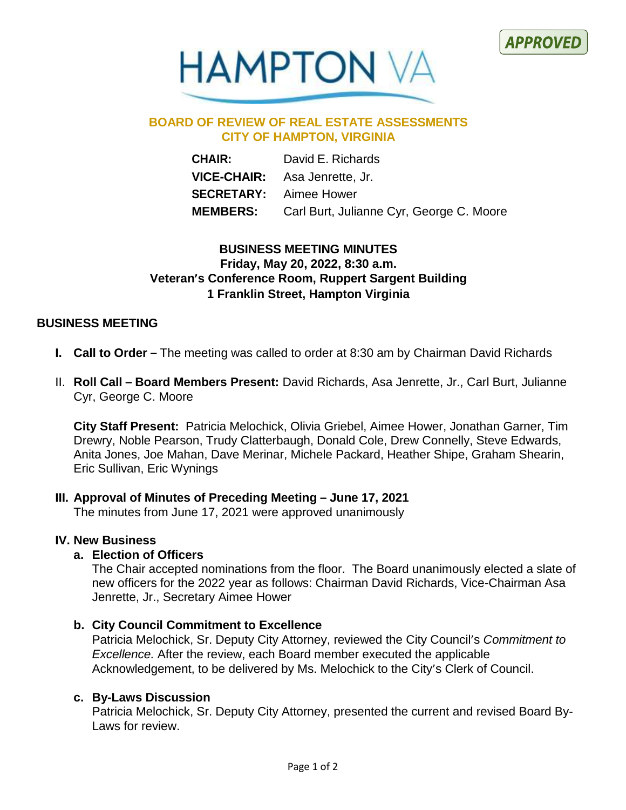



## **BOARD OF REVIEW OF REAL ESTATE ASSESSMENTS CITY OF HAMPTON, VIRGINIA**

| CHAIR: | David E. Richards                                        |
|--------|----------------------------------------------------------|
|        | <b>VICE-CHAIR:</b> Asa Jenrette, Jr.                     |
|        | <b>SECRETARY:</b> Aimee Hower                            |
|        | <b>MEMBERS:</b> Carl Burt, Julianne Cyr, George C. Moore |

# **BUSINESS MEETING MINUTES Friday, May 20, 2022, 8:30 a.m. Veteran's Conference Room, Ruppert Sargent Building 1 Franklin Street, Hampton Virginia**

## **BUSINESS MEETING**

- **I. Call to Order –** The meeting was called to order at 8:30 am by Chairman David Richards
- II. **Roll Call – Board Members Present:** David Richards, Asa Jenrette, Jr., Carl Burt, Julianne Cyr, George C. Moore

**City Staff Present:** Patricia Melochick, Olivia Griebel, Aimee Hower, Jonathan Garner, Tim Drewry, Noble Pearson, Trudy Clatterbaugh, Donald Cole, Drew Connelly, Steve Edwards, Anita Jones, Joe Mahan, Dave Merinar, Michele Packard, Heather Shipe, Graham Shearin, Eric Sullivan, Eric Wynings

#### **III. Approval of Minutes of Preceding Meeting – June 17, 2021**

The minutes from June 17, 2021 were approved unanimously

#### **IV. New Business**

# **a. Election of Officers**

The Chair accepted nominations from the floor. The Board unanimously elected a slate of new officers for the 2022 year as follows: Chairman David Richards, Vice-Chairman Asa Jenrette, Jr., Secretary Aimee Hower

#### **b. City Council Commitment to Excellence**

Patricia Melochick, Sr. Deputy City Attorney, reviewed the City Council's *Commitment to Excellence.* After the review, each Board member executed the applicable Acknowledgement, to be delivered by Ms. Melochick to the City's Clerk of Council.

### **c. By-Laws Discussion**

Patricia Melochick, Sr. Deputy City Attorney, presented the current and revised Board By-Laws for review.